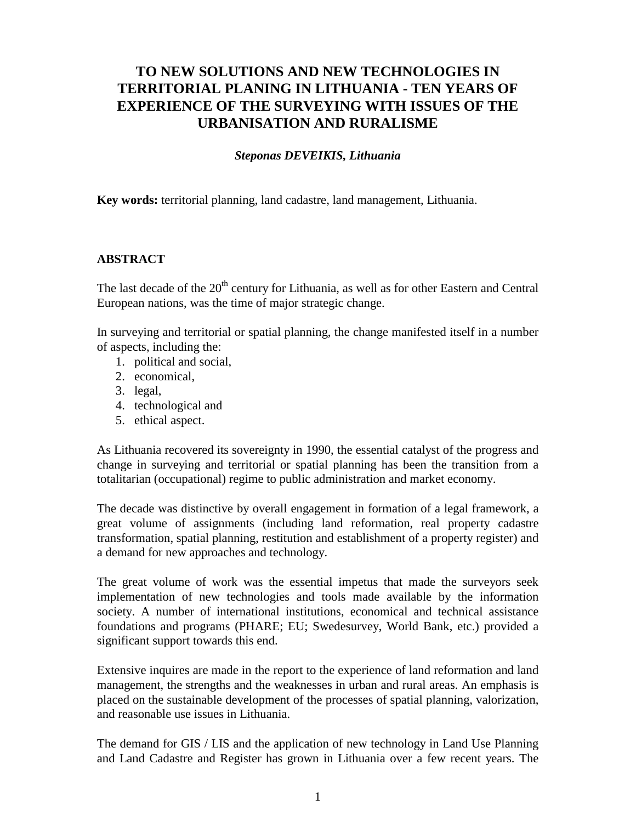# **TO NEW SOLUTIONS AND NEW TECHNOLOGIES IN TERRITORIAL PLANING IN LITHUANIA - TEN YEARS OF EXPERIENCE OF THE SURVEYING WITH ISSUES OF THE URBANISATION AND RURALISME**

### *Steponas DEVEIKIS, Lithuania*

**Key words:** territorial planning, land cadastre, land management, Lithuania.

### **ABSTRACT**

The last decade of the 20<sup>th</sup> century for Lithuania, as well as for other Eastern and Central European nations, was the time of major strategic change.

In surveying and territorial or spatial planning, the change manifested itself in a number of aspects, including the:

- 1. political and social,
- 2. economical,
- 3. legal,
- 4. technological and
- 5. ethical aspect.

As Lithuania recovered its sovereignty in 1990, the essential catalyst of the progress and change in surveying and territorial or spatial planning has been the transition from a totalitarian (occupational) regime to public administration and market economy.

The decade was distinctive by overall engagement in formation of a legal framework, a great volume of assignments (including land reformation, real property cadastre transformation, spatial planning, restitution and establishment of a property register) and a demand for new approaches and technology.

The great volume of work was the essential impetus that made the surveyors seek implementation of new technologies and tools made available by the information society. A number of international institutions, economical and technical assistance foundations and programs (PHARE; EU; Swedesurvey, World Bank, etc.) provided a significant support towards this end.

Extensive inquires are made in the report to the experience of land reformation and land management, the strengths and the weaknesses in urban and rural areas. An emphasis is placed on the sustainable development of the processes of spatial planning, valorization, and reasonable use issues in Lithuania.

The demand for GIS / LIS and the application of new technology in Land Use Planning and Land Cadastre and Register has grown in Lithuania over a few recent years. The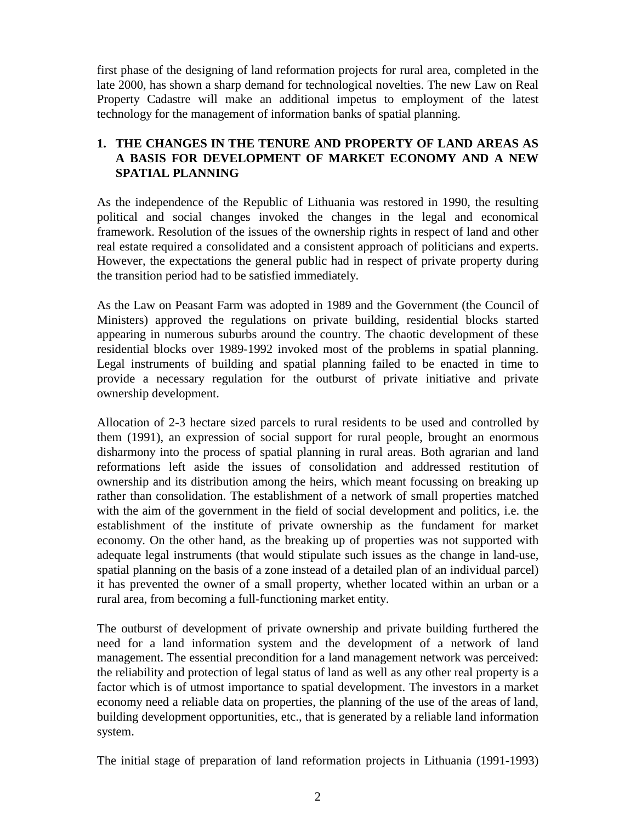first phase of the designing of land reformation projects for rural area, completed in the late 2000, has shown a sharp demand for technological novelties. The new Law on Real Property Cadastre will make an additional impetus to employment of the latest technology for the management of information banks of spatial planning.

# **1. THE CHANGES IN THE TENURE AND PROPERTY OF LAND AREAS AS A BASIS FOR DEVELOPMENT OF MARKET ECONOMY AND A NEW SPATIAL PLANNING**

As the independence of the Republic of Lithuania was restored in 1990, the resulting political and social changes invoked the changes in the legal and economical framework. Resolution of the issues of the ownership rights in respect of land and other real estate required a consolidated and a consistent approach of politicians and experts. However, the expectations the general public had in respect of private property during the transition period had to be satisfied immediately.

As the Law on Peasant Farm was adopted in 1989 and the Government (the Council of Ministers) approved the regulations on private building, residential blocks started appearing in numerous suburbs around the country. The chaotic development of these residential blocks over 1989-1992 invoked most of the problems in spatial planning. Legal instruments of building and spatial planning failed to be enacted in time to provide a necessary regulation for the outburst of private initiative and private ownership development.

Allocation of 2-3 hectare sized parcels to rural residents to be used and controlled by them (1991), an expression of social support for rural people, brought an enormous disharmony into the process of spatial planning in rural areas. Both agrarian and land reformations left aside the issues of consolidation and addressed restitution of ownership and its distribution among the heirs, which meant focussing on breaking up rather than consolidation. The establishment of a network of small properties matched with the aim of the government in the field of social development and politics, i.e. the establishment of the institute of private ownership as the fundament for market economy. On the other hand, as the breaking up of properties was not supported with adequate legal instruments (that would stipulate such issues as the change in land-use, spatial planning on the basis of a zone instead of a detailed plan of an individual parcel) it has prevented the owner of a small property, whether located within an urban or a rural area, from becoming a full-functioning market entity.

The outburst of development of private ownership and private building furthered the need for a land information system and the development of a network of land management. The essential precondition for a land management network was perceived: the reliability and protection of legal status of land as well as any other real property is a factor which is of utmost importance to spatial development. The investors in a market economy need a reliable data on properties, the planning of the use of the areas of land, building development opportunities, etc., that is generated by a reliable land information system.

The initial stage of preparation of land reformation projects in Lithuania (1991-1993)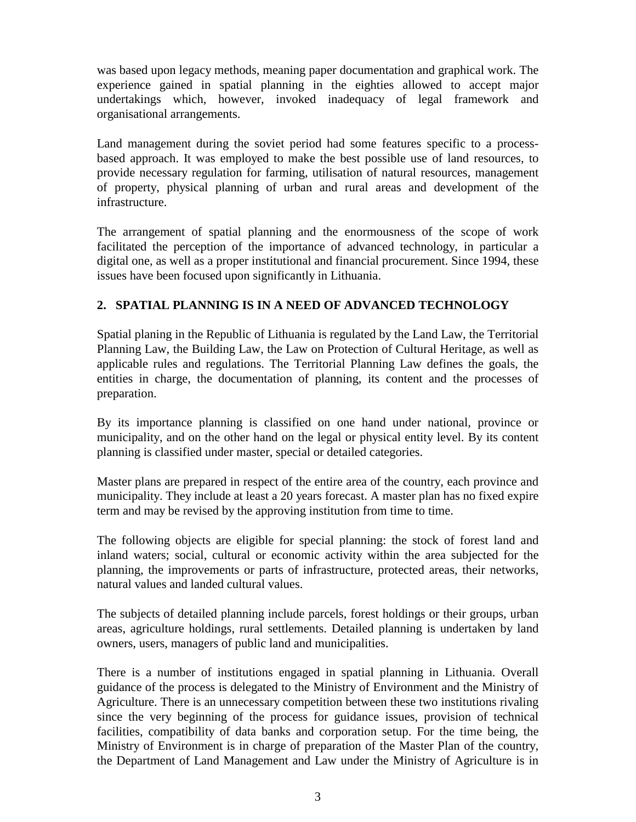was based upon legacy methods, meaning paper documentation and graphical work. The experience gained in spatial planning in the eighties allowed to accept major undertakings which, however, invoked inadequacy of legal framework and organisational arrangements.

Land management during the soviet period had some features specific to a processbased approach. It was employed to make the best possible use of land resources, to provide necessary regulation for farming, utilisation of natural resources, management of property, physical planning of urban and rural areas and development of the infrastructure.

The arrangement of spatial planning and the enormousness of the scope of work facilitated the perception of the importance of advanced technology, in particular a digital one, as well as a proper institutional and financial procurement. Since 1994, these issues have been focused upon significantly in Lithuania.

# **2. SPATIAL PLANNING IS IN A NEED OF ADVANCED TECHNOLOGY**

Spatial planing in the Republic of Lithuania is regulated by the Land Law, the Territorial Planning Law, the Building Law, the Law on Protection of Cultural Heritage, as well as applicable rules and regulations. The Territorial Planning Law defines the goals, the entities in charge, the documentation of planning, its content and the processes of preparation.

By its importance planning is classified on one hand under national, province or municipality, and on the other hand on the legal or physical entity level. By its content planning is classified under master, special or detailed categories.

Master plans are prepared in respect of the entire area of the country, each province and municipality. They include at least a 20 years forecast. A master plan has no fixed expire term and may be revised by the approving institution from time to time.

The following objects are eligible for special planning: the stock of forest land and inland waters; social, cultural or economic activity within the area subjected for the planning, the improvements or parts of infrastructure, protected areas, their networks, natural values and landed cultural values.

The subjects of detailed planning include parcels, forest holdings or their groups, urban areas, agriculture holdings, rural settlements. Detailed planning is undertaken by land owners, users, managers of public land and municipalities.

There is a number of institutions engaged in spatial planning in Lithuania. Overall guidance of the process is delegated to the Ministry of Environment and the Ministry of Agriculture. There is an unnecessary competition between these two institutions rivaling since the very beginning of the process for guidance issues, provision of technical facilities, compatibility of data banks and corporation setup. For the time being, the Ministry of Environment is in charge of preparation of the Master Plan of the country, the Department of Land Management and Law under the Ministry of Agriculture is in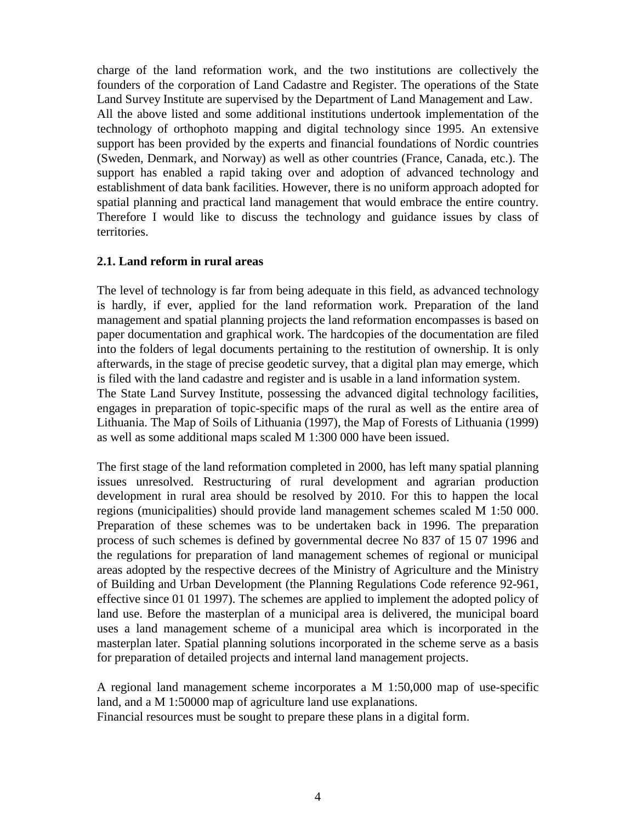charge of the land reformation work, and the two institutions are collectively the founders of the corporation of Land Cadastre and Register. The operations of the State Land Survey Institute are supervised by the Department of Land Management and Law. All the above listed and some additional institutions undertook implementation of the technology of orthophoto mapping and digital technology since 1995. An extensive support has been provided by the experts and financial foundations of Nordic countries (Sweden, Denmark, and Norway) as well as other countries (France, Canada, etc.). The support has enabled a rapid taking over and adoption of advanced technology and establishment of data bank facilities. However, there is no uniform approach adopted for spatial planning and practical land management that would embrace the entire country. Therefore I would like to discuss the technology and guidance issues by class of territories.

#### **2.1. Land reform in rural areas**

The level of technology is far from being adequate in this field, as advanced technology is hardly, if ever, applied for the land reformation work. Preparation of the land management and spatial planning projects the land reformation encompasses is based on paper documentation and graphical work. The hardcopies of the documentation are filed into the folders of legal documents pertaining to the restitution of ownership. It is only afterwards, in the stage of precise geodetic survey, that a digital plan may emerge, which is filed with the land cadastre and register and is usable in a land information system. The State Land Survey Institute, possessing the advanced digital technology facilities, engages in preparation of topic-specific maps of the rural as well as the entire area of Lithuania. The Map of Soils of Lithuania (1997), the Map of Forests of Lithuania (1999) as well as some additional maps scaled M 1:300 000 have been issued.

The first stage of the land reformation completed in 2000, has left many spatial planning issues unresolved. Restructuring of rural development and agrarian production development in rural area should be resolved by 2010. For this to happen the local regions (municipalities) should provide land management schemes scaled M 1:50 000. Preparation of these schemes was to be undertaken back in 1996. The preparation process of such schemes is defined by governmental decree No 837 of 15 07 1996 and the regulations for preparation of land management schemes of regional or municipal areas adopted by the respective decrees of the Ministry of Agriculture and the Ministry of Building and Urban Development (the Planning Regulations Code reference 92-961, effective since 01 01 1997). The schemes are applied to implement the adopted policy of land use. Before the masterplan of a municipal area is delivered, the municipal board uses a land management scheme of a municipal area which is incorporated in the masterplan later. Spatial planning solutions incorporated in the scheme serve as a basis for preparation of detailed projects and internal land management projects.

A regional land management scheme incorporates a M 1:50,000 map of use-specific land, and a M 1:50000 map of agriculture land use explanations. Financial resources must be sought to prepare these plans in a digital form.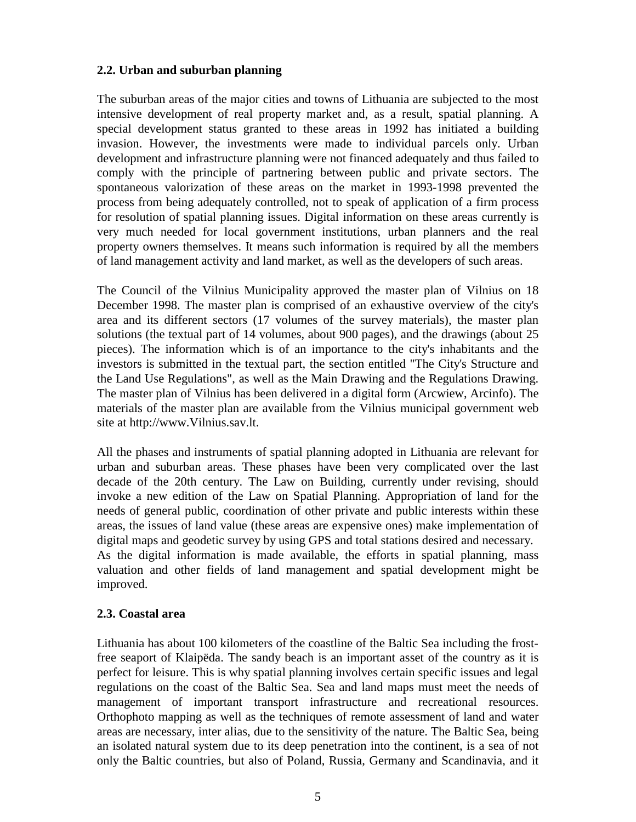### **2.2. Urban and suburban planning**

The suburban areas of the major cities and towns of Lithuania are subjected to the most intensive development of real property market and, as a result, spatial planning. A special development status granted to these areas in 1992 has initiated a building invasion. However, the investments were made to individual parcels only. Urban development and infrastructure planning were not financed adequately and thus failed to comply with the principle of partnering between public and private sectors. The spontaneous valorization of these areas on the market in 1993-1998 prevented the process from being adequately controlled, not to speak of application of a firm process for resolution of spatial planning issues. Digital information on these areas currently is very much needed for local government institutions, urban planners and the real property owners themselves. It means such information is required by all the members of land management activity and land market, as well as the developers of such areas.

The Council of the Vilnius Municipality approved the master plan of Vilnius on 18 December 1998. The master plan is comprised of an exhaustive overview of the city's area and its different sectors (17 volumes of the survey materials), the master plan solutions (the textual part of 14 volumes, about 900 pages), and the drawings (about 25 pieces). The information which is of an importance to the city's inhabitants and the investors is submitted in the textual part, the section entitled "The City's Structure and the Land Use Regulations", as well as the Main Drawing and the Regulations Drawing. The master plan of Vilnius has been delivered in a digital form (Arcwiew, Arcinfo). The materials of the master plan are available from the Vilnius municipal government web site at http://www.Vilnius.sav.lt.

All the phases and instruments of spatial planning adopted in Lithuania are relevant for urban and suburban areas. These phases have been very complicated over the last decade of the 20th century. The Law on Building, currently under revising, should invoke a new edition of the Law on Spatial Planning. Appropriation of land for the needs of general public, coordination of other private and public interests within these areas, the issues of land value (these areas are expensive ones) make implementation of digital maps and geodetic survey by using GPS and total stations desired and necessary. As the digital information is made available, the efforts in spatial planning, mass valuation and other fields of land management and spatial development might be improved.

### **2.3. Coastal area**

Lithuania has about 100 kilometers of the coastline of the Baltic Sea including the frostfree seaport of Klaipëda. The sandy beach is an important asset of the country as it is perfect for leisure. This is why spatial planning involves certain specific issues and legal regulations on the coast of the Baltic Sea. Sea and land maps must meet the needs of management of important transport infrastructure and recreational resources. Orthophoto mapping as well as the techniques of remote assessment of land and water areas are necessary, inter alias, due to the sensitivity of the nature. The Baltic Sea, being an isolated natural system due to its deep penetration into the continent, is a sea of not only the Baltic countries, but also of Poland, Russia, Germany and Scandinavia, and it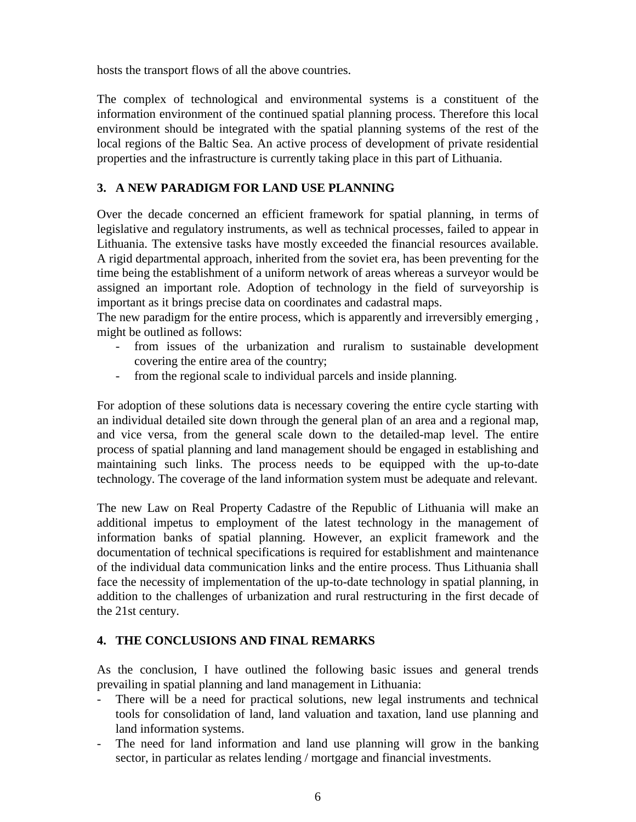hosts the transport flows of all the above countries.

The complex of technological and environmental systems is a constituent of the information environment of the continued spatial planning process. Therefore this local environment should be integrated with the spatial planning systems of the rest of the local regions of the Baltic Sea. An active process of development of private residential properties and the infrastructure is currently taking place in this part of Lithuania.

# **3. A NEW PARADIGM FOR LAND USE PLANNING**

Over the decade concerned an efficient framework for spatial planning, in terms of legislative and regulatory instruments, as well as technical processes, failed to appear in Lithuania. The extensive tasks have mostly exceeded the financial resources available. A rigid departmental approach, inherited from the soviet era, has been preventing for the time being the establishment of a uniform network of areas whereas a surveyor would be assigned an important role. Adoption of technology in the field of surveyorship is important as it brings precise data on coordinates and cadastral maps.

The new paradigm for the entire process, which is apparently and irreversibly emerging , might be outlined as follows:

- from issues of the urbanization and ruralism to sustainable development covering the entire area of the country;
- from the regional scale to individual parcels and inside planning.

For adoption of these solutions data is necessary covering the entire cycle starting with an individual detailed site down through the general plan of an area and a regional map, and vice versa, from the general scale down to the detailed-map level. The entire process of spatial planning and land management should be engaged in establishing and maintaining such links. The process needs to be equipped with the up-to-date technology. The coverage of the land information system must be adequate and relevant.

The new Law on Real Property Cadastre of the Republic of Lithuania will make an additional impetus to employment of the latest technology in the management of information banks of spatial planning. However, an explicit framework and the documentation of technical specifications is required for establishment and maintenance of the individual data communication links and the entire process. Thus Lithuania shall face the necessity of implementation of the up-to-date technology in spatial planning, in addition to the challenges of urbanization and rural restructuring in the first decade of the 21st century.

### **4. THE CONCLUSIONS AND FINAL REMARKS**

As the conclusion, I have outlined the following basic issues and general trends prevailing in spatial planning and land management in Lithuania:

- There will be a need for practical solutions, new legal instruments and technical tools for consolidation of land, land valuation and taxation, land use planning and land information systems.
- The need for land information and land use planning will grow in the banking sector, in particular as relates lending / mortgage and financial investments.